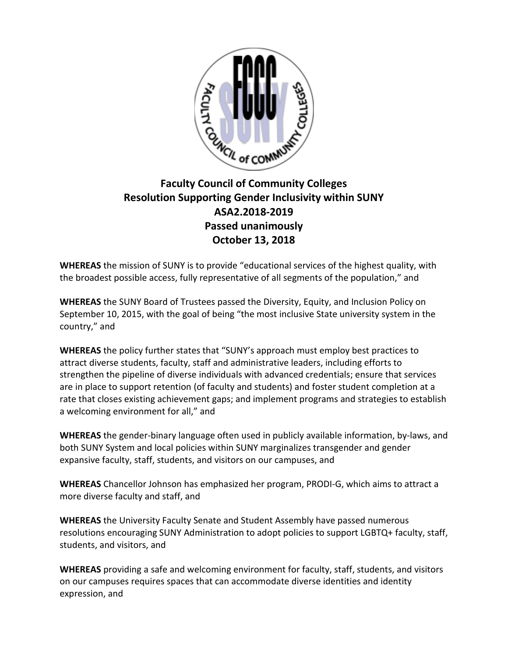

## **Faculty Council of Community Colleges Resolution Supporting Gender Inclusivity within SUNY ASA2.2018-2019 Passed unanimously October 13, 2018**

**WHEREAS** the mission of SUNY is to provide "educational services of the highest quality, with the broadest possible access, fully representative of all segments of the population," and

**WHEREAS** the SUNY Board of Trustees passed the Diversity, Equity, and Inclusion Policy on September 10, 2015, with the goal of being "the most inclusive State university system in the country," and

**WHEREAS** the policy further states that "SUNY's approach must employ best practices to attract diverse students, faculty, staff and administrative leaders, including efforts to strengthen the pipeline of diverse individuals with advanced credentials; ensure that services are in place to support retention (of faculty and students) and foster student completion at a rate that closes existing achievement gaps; and implement programs and strategies to establish a welcoming environment for all," and

**WHEREAS** the gender-binary language often used in publicly available information, by-laws, and both SUNY System and local policies within SUNY marginalizes transgender and gender expansive faculty, staff, students, and visitors on our campuses, and

**WHEREAS** Chancellor Johnson has emphasized her program, PRODI-G, which aims to attract a more diverse faculty and staff, and

**WHEREAS** the University Faculty Senate and Student Assembly have passed numerous resolutions encouraging SUNY Administration to adopt policies to support LGBTQ+ faculty, staff, students, and visitors, and

**WHEREAS** providing a safe and welcoming environment for faculty, staff, students, and visitors on our campuses requires spaces that can accommodate diverse identities and identity expression, and